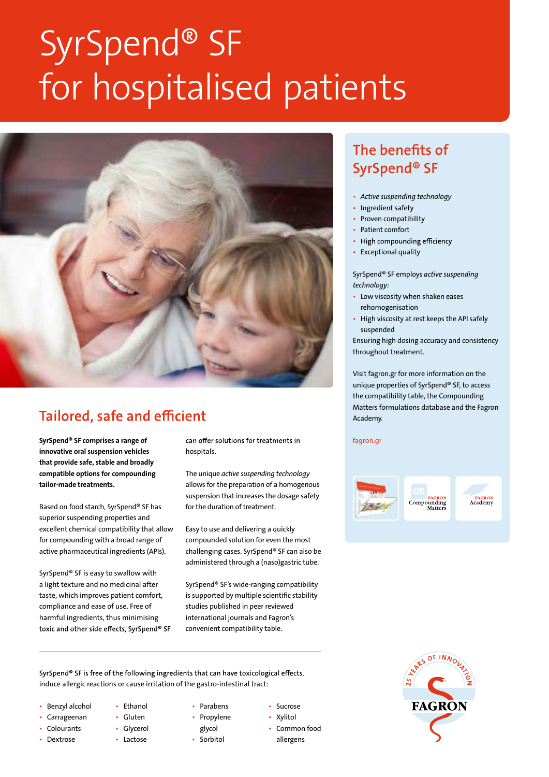# SyrSpend® SF for hospitalised patients



## **Tailored, safe and efficient**

innovative oral suspension vehicles that provide safe, stable and broadly compatible options for compounding tailor-made treatments.

Based on food starch, SyrSpend® SF has superior suspending properties and excellent chemical compatibility that allow for compounding with a broad range of active pharmaceutical ingredients (APIs).

SyrSpend® SF is easy to swallow with a light texture and no medicinal after taste, which improves patient comfort, compliance and ease of use. Free of harmful ingredients, thus minimising toxic and other side effects, SyrSpend® SF

SyrSpend<sup>®</sup> SF comprises a range of *can offer solutions* for treatments in *fagron.gr* hospitals.

> The unique *active suspending technology*  allows for the preparation of a homogenous suspension that increases the dosage safety for the duration of treatment.

Easy to use and delivering a quickly compounded solution for even the most challenging cases. SyrSpend® SF can also be administered through a (naso)gastric tube.

SyrSpend® SF's wide-ranging compatibility is supported by multiple scientific stability studies published in peer reviewed international journals and Fagron's convenient compatibility table.

SyrSpend® SF is free of the following ingredients that can have toxicological effects, induce allergic reactions or cause irritation of the gastro-intestinal tract:

- Benzyl alcohol
- Carrageenan
- **Colourants**
- Dextrose
- Gluten

• Ethanol

- Glycerol
	- Lactose
- Parabens • Propylene
	- glycol
- Sorbitol
- Sucrose • Xylitol
- Common food
- allergens

### The benefits of SyrSpend® SF

- *Active suspending technology*
- Ingredient safety
- Proven compatibility
- Patient comfort
- High compounding efficiency
- Exceptional quality

SyrSpend® SF employs *active suspending technology:*

- Low viscosity when shaken eases rehomogenisation
- High viscosity at rest keeps the API safely suspended

Ensuring high dosing accuracy and consistency throughout treatment.

Visit fagron.gr for more information on the unique properties of SyrSpend® SF, to access the compatibility table, the Compounding Matters formulations database and the Fagron Academy.